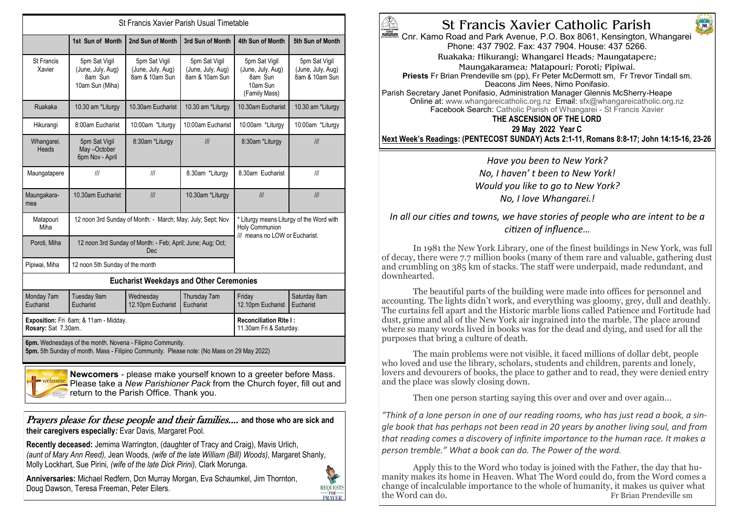| St Francis Xavier Parish Usual Timetable                                                             |                                                                  |                                                                   |                                                                                              |                                                                            |                                                      |  |  |
|------------------------------------------------------------------------------------------------------|------------------------------------------------------------------|-------------------------------------------------------------------|----------------------------------------------------------------------------------------------|----------------------------------------------------------------------------|------------------------------------------------------|--|--|
|                                                                                                      | 1st Sun of Month                                                 | 2nd Sun of Month                                                  | 3rd Sun of Month                                                                             | 4th Sun of Month                                                           | 5th Sun of Month                                     |  |  |
| St Francis<br>Xavier                                                                                 | 5pm Sat Vigil<br>(June, July, Aug)<br>8am Sun<br>10am Sun (Miha) | 5pm Sat Vigil<br>(June, July, Aug)<br>8am & 10am Sun              | 5pm Sat Vigil<br>(June, July, Aug)<br>8am & 10am Sun                                         | 5pm Sat Vigil<br>(June, July, Aug)<br>8am Sun<br>10am Sun<br>(Family Mass) | 5pm Sat Vigil<br>(June, July, Aug)<br>8am & 10am Sun |  |  |
| Ruakaka                                                                                              | 10.30 am *Liturgy                                                | 10.30am Eucharist                                                 | 10.30 am *Liturgy                                                                            | 10.30am Eucharist                                                          | 10.30 am *Liturgy                                    |  |  |
| Hikurangi                                                                                            | 8:00am Eucharist                                                 | 10:00am *Liturgy                                                  | 10:00am Eucharist                                                                            | 10:00am *Liturgy                                                           | 10:00am *Liturgy                                     |  |  |
| Whangarei.<br>Heads                                                                                  | 5pm Sat Vigil<br>May-October<br>6pm Nov - April                  | 8:30am *Liturgy                                                   | III                                                                                          | 8:30am *Liturgy                                                            | III                                                  |  |  |
| Maungatapere                                                                                         | III                                                              | III                                                               | 8.30am *Liturgy                                                                              | 8.30am Eucharist                                                           | III                                                  |  |  |
| Maungakara-<br>mea                                                                                   | 10.30am Eucharist                                                | III                                                               | 10.30am *Liturgy                                                                             | III                                                                        | III                                                  |  |  |
| Matapouri<br>Miha                                                                                    |                                                                  | 12 noon 3rd Sunday of Month: - March; May; July; Sept; Nov        | * Liturgy means Liturgy of the Word with<br>Holy Communion<br>III means no LOW or Eucharist. |                                                                            |                                                      |  |  |
| Poroti, Miha                                                                                         |                                                                  | 12 noon 3rd Sunday of Month: - Feb; April; June; Aug; Oct;<br>Dec |                                                                                              |                                                                            |                                                      |  |  |
| Pipiwai, Miha                                                                                        | 12 noon 5th Sunday of the month                                  |                                                                   |                                                                                              |                                                                            |                                                      |  |  |
| <b>Eucharist Weekdays and Other Ceremonies</b>                                                       |                                                                  |                                                                   |                                                                                              |                                                                            |                                                      |  |  |
| Monday 7am<br>Eucharist                                                                              | Tuesday 9am<br>Eucharist                                         | Wednesday<br>12.10pm Eucharist                                    | Thursday 7am<br>Eucharist                                                                    | Fridav<br>12.10pm Eucharist                                                | Saturday 8am<br>Eucharist                            |  |  |
| Rosary: Sat 7.30am                                                                                   | Exposition: Fri 6am; & 11am - Midday.                            | <b>Reconciliation Rite I:</b><br>11.30am Fri & Saturday.          |                                                                                              |                                                                            |                                                      |  |  |
| 6pm. Wednesdays of the month. Novena - Filipino Community.<br>$\mathbf{r}$ $\mathbf{r}$ $\mathbf{r}$ |                                                                  |                                                                   |                                                                                              |                                                                            |                                                      |  |  |

**5pm.** 5th Sunday of month. Mass - Filipino Community. Please note: (No Mass on 29 May 2022)



**Newcomers** - please make yourself known to a greeter before Mass. Please take a *New Parishioner Pack* from the Church foyer, fill out and return to the Parish Office. Thank you.

Prayers please for these people and their families.... **and those who are sick and their caregivers especially***:* Evar Davis*,* Margaret Pool.

**Recently deceased:** Jemima Warrington, (daughter of Tracy and Craig), Mavis Urlich, *(aunt of Mary Ann Reed),* Jean Woods, *(wife of the late William (Bill) Woods),* Margaret Shanly, Molly Lockhart, Sue Pirini*, (wife of the late Dick Pirini),* Clark Morunga.

**Anniversaries:** Michael Redfern, Dcn Murray Morgan, Eva Schaumkel, Jim Thornton, Doug Dawson, Teresa Freeman, Peter Eilers.





Cnr. Kamo Road and Park Avenue, P.O. Box 8061, Kensington, Whangarei Phone: 437 7902. Fax: 437 7904. House: 437 5266.

M

Ruakaka; Hikurangi; Whangarei Heads; Maungatapere;

Maungakaramea; Matapouri; Poroti; Pipiwai.

Priests Fr Brian Prendeville sm (pp), Fr Peter McDermott sm, Fr Trevor Tindall sm. Deacons Jim Nees, Nimo Ponifasio.

Parish Secretary Janet Ponifasio, Administration Manager Glennis McSherry-Heape Online at: www.whangareicatholic.org.nz Email: sfx@whangareicatholic.org.nz Facebook Search: Catholic Parish of Whangarei - St Francis Xavier

## **THE ASCENSION OF THE LORD**

**29 May 2022 Year C Next Week's Readings: (PENTECOST SUNDAY) Acts 2:1-11, Romans 8:8-17; John 14:15-16, 23-26**

## *Have you been to New York? No, I haven' t been to New York! Would you like to go to New York? No, I love Whangarei.!*

*In all our cities and towns, we have stories of people who are intent to be a citizen of influence…*

In 1981 the New York Library, one of the finest buildings in New York, was full of decay, there were 7.7 million books (many of them rare and valuable, gathering dust and crumbling on 385 km of stacks. The staff were underpaid, made redundant, and downhearted.

The beautiful parts of the building were made into offices for personnel and accounting. The lights didn't work, and everything was gloomy, grey, dull and deathly. The curtains fell apart and the Historic marble lions called Patience and Fortitude had dust, grime and all of the New York air ingrained into the marble. The place around where so many words lived in books was for the dead and dying, and used for all the purposes that bring a culture of death.

The main problems were not visible, it faced millions of dollar debt, people who loved and use the library, scholars, students and children, parents and lonely, lovers and devourers of books, the place to gather and to read, they were denied entry and the place was slowly closing down.

Then one person starting saying this over and over and over again…

*"Think of a lone person in one of our reading rooms, who has just read a book, a single book that has perhaps not been read in 20 years by another living soul, and from that reading comes a discovery of infinite importance to the human race. It makes a person tremble." What a book can do. The Power of the word.*

Apply this to the Word who today is joined with the Father, the day that humanity makes its home in Heaven. What The Word could do, from the Word comes a change of incalculable importance to the whole of humanity, it makes us quiver what the Word can do. Fr Brian Prendeville sm Fr Brian Prendeville sm